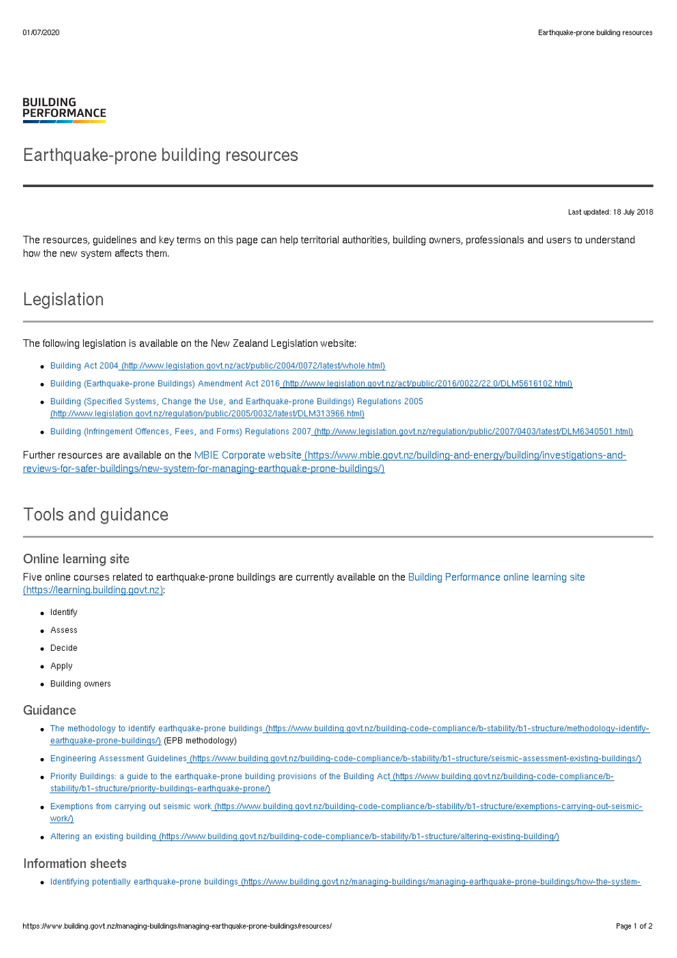### **BUILDING PERFORMANCE**

# Earthquake-prone building resources

Last updated: 18 July 2018

The resources, guidelines and key terms on this page can help territorial authorities, building owners, professionals and users to understand how the new system affects them.

# Legislation

The following legislation is available on the New Zealand Legislation website:

- Building Act 2004 [\(http://www.legislation.govt.nz/act/public/2004/0072/latest/whole.html\)](http://www.legislation.govt.nz/act/public/2004/0072/latest/whole.html)
- Building (Earthquake-prone Buildings) Amendment Act 2016 [\(http://www.legislation.govt.nz/act/public/2016/0022/22.0/DLM5616102.html\)](http://www.legislation.govt.nz/act/public/2016/0022/22.0/DLM5616102.html)
- Building (Specified Systems, Change the Use, and Earthquake-prone Buildings) Regulations 2005 [\(http://www.legislation.govt.nz/regulation/public/2005/0032/latest/DLM313966.html\)](http://www.legislation.govt.nz/regulation/public/2005/0032/latest/DLM313966.html)
- Building (Infringement Offences, Fees, and Forms) Regulations 2007 [\(http://www.legislation.govt.nz/regulation/public/2007/0403/latest/DLM6340501.html\)](http://www.legislation.govt.nz/regulation/public/2007/0403/latest/DLM6340501.html)

Further resources are available on the MBIE Corporate website (https://www.mbie.govt.nz/building-and-energy/building/investigations-and[reviews-for-safer-buildings/new-system-for-managing-earthquake-prone-buildings/\)](https://www.mbie.govt.nz/building-and-energy/building/investigations-and-reviews-for-safer-buildings/new-system-for-managing-earthquake-prone-buildings/)

# Tools and guidance

## Online learning site

Five online courses related to earthquake-prone buildings are currently available on the Building Performance online learning site [\(https://learning.building.govt.nz\):](https://learning.building.govt.nz)

- Identify
- Assess
- Decide
- Apply
- Building owners

### Guidance

- . The methodology to identify earthquake-prone buildings [\(https://www.building.govt.nz/building-code-compliance/b-stability/b1-structure/methodology-identify](https://www.building.govt.nz/building-code-compliance/b-stability/b1-structure/methodology-identify-earthquake-prone-buildings/)earthquake-prone-buildings/) (EPB methodology)
- Engineering Assessment Guidelines [\(https://www.building.govt.nz/building-code-compliance/b-stability/b1-structure/seismic-assessment-existing-buildings/\)](https://www.building.govt.nz/building-code-compliance/b-stability/b1-structure/seismic-assessment-existing-buildings/)
- Priority Buildings: a guide to the earthquake-prone building provisions of the Building Act [\(https://www.building.govt.nz/building-code-compliance/b](https://www.building.govt.nz/building-code-compliance/b-stability/b1-structure/priority-buildings-earthquake-prone/)stability/b1-structure/priority-buildings-earthquake-prone/)
- . Exemptions from carrying out seismic work [\(https://www.building.govt.nz/building-code-compliance/b-stability/b1-structure/exemptions-carrying-out-seismic](https://www.building.govt.nz/building-code-compliance/b-stability/b1-structure/exemptions-carrying-out-seismic-work/)work/)
- Altering an existing building [\(https://www.building.govt.nz/building-code-compliance/b-stability/b1-structure/altering-existing-building/\)](https://www.building.govt.nz/building-code-compliance/b-stability/b1-structure/altering-existing-building/)

### Information sheets

Identifying potentially earthquake-prone buildings [\(https://www.building.govt.nz/managing-buildings/managing-earthquake-prone-buildings/how-the-system-](https://www.building.govt.nz/managing-buildings/managing-earthquake-prone-buildings/how-the-system-works/identifying-earthquake-prone-buildings/)